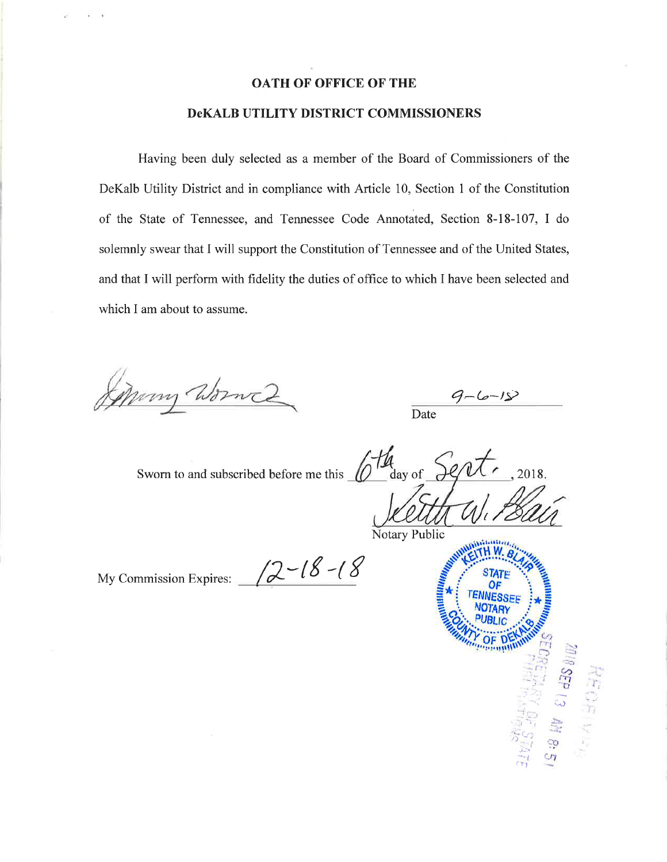## **OATH OF OFFICE OF THE**

## **DeKALB UTILITY DISTRICT COMMISSIONERS**

Having been duly selected as a member of the Board of Commissioners of the DeKalb Utility District and in compliance with Article 10, Section 1 of the Constitution of the State of Tennessee, and Tennessee Code Annotated, Section 8-18-107, I do solemnly swear that I will support the Constitution of Tennessee and of the United States, and that I will perform with fidelity the duties of office to which I have been selected and which I am about to assume.

Many Wormes

Date

 $\frac{d}{dx}$  day of Sworn to and subscribed before me this 2018.

My Commission Expires:  $\sqrt{2}$  - (8 - (8